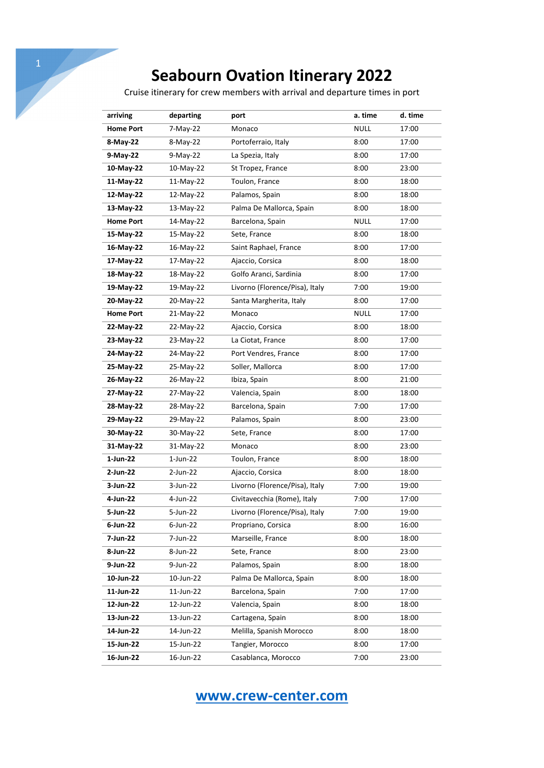Cruise itinerary for crew members with arrival and departure times in port

| arriving         | departing   | port                           | a. time     | d. time |
|------------------|-------------|--------------------------------|-------------|---------|
| <b>Home Port</b> | 7-May-22    | Monaco                         | <b>NULL</b> | 17:00   |
| 8-May-22         | 8-May-22    | Portoferraio, Italy            | 8:00        | 17:00   |
| 9-May-22         | 9-May-22    | La Spezia, Italy               | 8:00        | 17:00   |
| 10-May-22        | 10-May-22   | St Tropez, France              | 8:00        | 23:00   |
| 11-May-22        | 11-May-22   | Toulon, France                 | 8:00        | 18:00   |
| 12-May-22        | 12-May-22   | Palamos, Spain                 | 8:00        | 18:00   |
| 13-May-22        | 13-May-22   | Palma De Mallorca, Spain       | 8:00        | 18:00   |
| <b>Home Port</b> | 14-May-22   | Barcelona, Spain               | NULL        | 17:00   |
| 15-May-22        | 15-May-22   | Sete, France                   | 8:00        | 18:00   |
| 16-May-22        | 16-May-22   | Saint Raphael, France          | 8:00        | 17:00   |
| 17-May-22        | 17-May-22   | Ajaccio, Corsica               | 8:00        | 18:00   |
| 18-May-22        | 18-May-22   | Golfo Aranci, Sardinia         | 8:00        | 17:00   |
| 19-May-22        | 19-May-22   | Livorno (Florence/Pisa), Italy | 7:00        | 19:00   |
| 20-May-22        | 20-May-22   | Santa Margherita, Italy        | 8:00        | 17:00   |
| <b>Home Port</b> | 21-May-22   | Monaco                         | <b>NULL</b> | 17:00   |
| 22-May-22        | 22-May-22   | Ajaccio, Corsica               | 8:00        | 18:00   |
| 23-May-22        | 23-May-22   | La Ciotat, France              | 8:00        | 17:00   |
| 24-May-22        | 24-May-22   | Port Vendres, France           | 8:00        | 17:00   |
| 25-May-22        | 25-May-22   | Soller, Mallorca               | 8:00        | 17:00   |
| 26-May-22        | 26-May-22   | Ibiza, Spain                   | 8:00        | 21:00   |
| 27-May-22        | 27-May-22   | Valencia, Spain                | 8:00        | 18:00   |
| 28-May-22        | 28-May-22   | Barcelona, Spain               | 7:00        | 17:00   |
| 29-May-22        | 29-May-22   | Palamos, Spain                 | 8:00        | 23:00   |
| 30-May-22        | 30-May-22   | Sete, France                   | 8:00        | 17:00   |
| 31-May-22        | 31-May-22   | Monaco                         | 8:00        | 23:00   |
| 1-Jun-22         | $1$ -Jun-22 | Toulon, France                 | 8:00        | 18:00   |
| 2-Jun-22         | 2-Jun-22    | Ajaccio, Corsica               | 8:00        | 18:00   |
| 3-Jun-22         | 3-Jun-22    | Livorno (Florence/Pisa), Italy | 7:00        | 19:00   |
| 4-Jun-22         | 4-Jun-22    | Civitavecchia (Rome), Italy    | 7:00        | 17:00   |
| 5-Jun-22         | 5-Jun-22    | Livorno (Florence/Pisa), Italy | 7:00        | 19:00   |
| $6$ -Jun-22      | 6-Jun-22    | Propriano, Corsica             | 8:00        | 16:00   |
| 7-Jun-22         | 7-Jun-22    | Marseille, France              | 8:00        | 18:00   |
| 8-Jun-22         | 8-Jun-22    | Sete, France                   | 8:00        | 23:00   |
| 9-Jun-22         | 9-Jun-22    | Palamos, Spain                 | 8:00        | 18:00   |
| 10-Jun-22        | 10-Jun-22   | Palma De Mallorca, Spain       | 8:00        | 18:00   |
| 11-Jun-22        | 11-Jun-22   | Barcelona, Spain               | 7:00        | 17:00   |
| 12-Jun-22        | 12-Jun-22   | Valencia, Spain                | 8:00        | 18:00   |
| 13-Jun-22        | 13-Jun-22   | Cartagena, Spain               | 8:00        | 18:00   |
| 14-Jun-22        | 14-Jun-22   | Melilla, Spanish Morocco       | 8:00        | 18:00   |
| 15-Jun-22        | 15-Jun-22   | Tangier, Morocco               | 8:00        | 17:00   |
| 16-Jun-22        | 16-Jun-22   | Casablanca, Morocco            | 7:00        | 23:00   |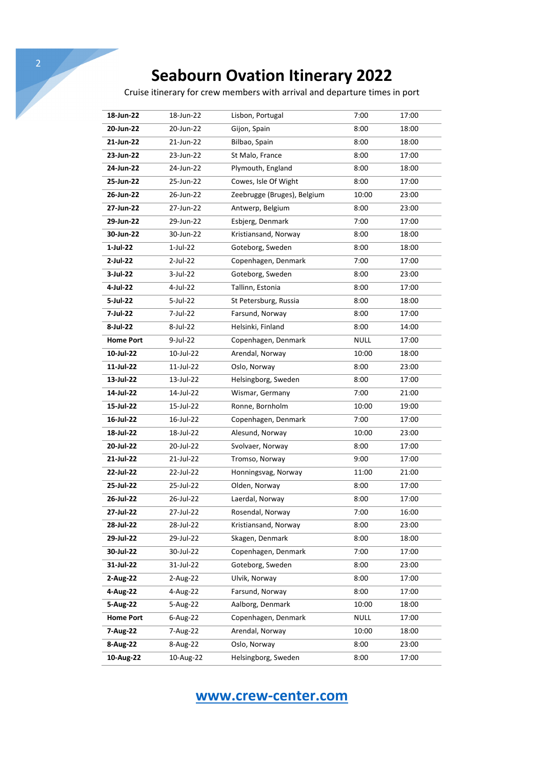Cruise itinerary for crew members with arrival and departure times in port

| 18-Jun-22        | 18-Jun-22  | Lisbon, Portugal            | 7:00        | 17:00 |
|------------------|------------|-----------------------------|-------------|-------|
| 20-Jun-22        | 20-Jun-22  | Gijon, Spain                | 8:00        | 18:00 |
| 21-Jun-22        | 21-Jun-22  | Bilbao, Spain               | 8:00        | 18:00 |
| 23-Jun-22        | 23-Jun-22  | St Malo, France             | 8:00        | 17:00 |
| 24-Jun-22        | 24-Jun-22  | Plymouth, England           | 8:00        | 18:00 |
| 25-Jun-22        | 25-Jun-22  | Cowes, Isle Of Wight        | 8:00        | 17:00 |
| 26-Jun-22        | 26-Jun-22  | Zeebrugge (Bruges), Belgium | 10:00       | 23:00 |
| 27-Jun-22        | 27-Jun-22  | Antwerp, Belgium            | 8:00        | 23:00 |
| 29-Jun-22        | 29-Jun-22  | Esbjerg, Denmark            | 7:00        | 17:00 |
| 30-Jun-22        | 30-Jun-22  | Kristiansand, Norway        | 8:00        | 18:00 |
| 1-Jul-22         | $1-Jul-22$ | Goteborg, Sweden            | 8:00        | 18:00 |
| 2-Jul-22         | 2-Jul-22   | Copenhagen, Denmark         | 7:00        | 17:00 |
| 3-Jul-22         | 3-Jul-22   | Goteborg, Sweden            | 8:00        | 23:00 |
| 4-Jul-22         | 4-Jul-22   | Tallinn, Estonia            | 8:00        | 17:00 |
| 5-Jul-22         | 5-Jul-22   | St Petersburg, Russia       | 8:00        | 18:00 |
| 7-Jul-22         | 7-Jul-22   | Farsund, Norway             | 8:00        | 17:00 |
| 8-Jul-22         | 8-Jul-22   | Helsinki, Finland           | 8:00        | 14:00 |
| <b>Home Port</b> | 9-Jul-22   | Copenhagen, Denmark         | <b>NULL</b> | 17:00 |
| 10-Jul-22        | 10-Jul-22  | Arendal, Norway             | 10:00       | 18:00 |
| 11-Jul-22        | 11-Jul-22  | Oslo, Norway                | 8:00        | 23:00 |
| 13-Jul-22        | 13-Jul-22  | Helsingborg, Sweden         | 8:00        | 17:00 |
| 14-Jul-22        | 14-Jul-22  | Wismar, Germany             | 7:00        | 21:00 |
| 15-Jul-22        | 15-Jul-22  | Ronne, Bornholm             | 10:00       | 19:00 |
| 16-Jul-22        | 16-Jul-22  | Copenhagen, Denmark         | 7:00        | 17:00 |
| 18-Jul-22        | 18-Jul-22  | Alesund, Norway             | 10:00       | 23:00 |
| 20-Jul-22        | 20-Jul-22  | Svolvaer, Norway            | 8:00        | 17:00 |
| 21-Jul-22        | 21-Jul-22  | Tromso, Norway              | 9:00        | 17:00 |
| 22-Jul-22        | 22-Jul-22  | Honningsvag, Norway         | 11:00       | 21:00 |
| 25-Jul-22        | 25-Jul-22  | Olden, Norway               | 8:00        | 17:00 |
| 26-Jul-22        | 26-Jul-22  | Laerdal, Norway             | 8:00        | 17:00 |
| 27-Jul-22        | 27-Jul-22  | Rosendal, Norway            | 7:00        | 16:00 |
| 28-Jul-22        | 28-Jul-22  | Kristiansand, Norway        | 8:00        | 23:00 |
| 29-Jul-22        | 29-Jul-22  | Skagen, Denmark             | 8:00        | 18:00 |
| 30-Jul-22        | 30-Jul-22  | Copenhagen, Denmark         | 7:00        | 17:00 |
| 31-Jul-22        | 31-Jul-22  | Goteborg, Sweden            | 8:00        | 23:00 |
| 2-Aug-22         | 2-Aug-22   | Ulvik, Norway               | 8:00        | 17:00 |
| 4-Aug-22         | 4-Aug-22   | Farsund, Norway             | 8:00        | 17:00 |
| 5-Aug-22         | 5-Aug-22   | Aalborg, Denmark            | 10:00       | 18:00 |
| <b>Home Port</b> | 6-Aug-22   | Copenhagen, Denmark         | NULL        | 17:00 |
| 7-Aug-22         | 7-Aug-22   | Arendal, Norway             | 10:00       | 18:00 |
| 8-Aug-22         | 8-Aug-22   | Oslo, Norway                | 8:00        | 23:00 |
| 10-Aug-22        | 10-Aug-22  | Helsingborg, Sweden         | 8:00        | 17:00 |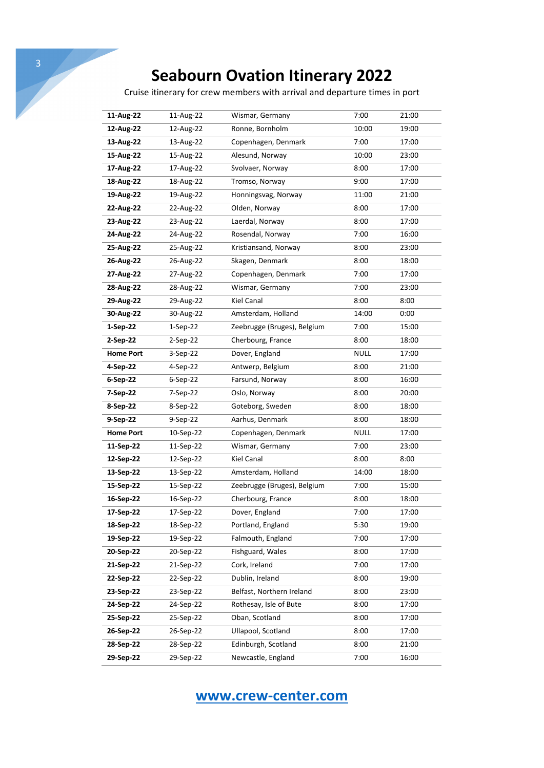Cruise itinerary for crew members with arrival and departure times in port

| 11-Aug-22        | 11-Aug-22  | Wismar, Germany             | 7:00        | 21:00 |
|------------------|------------|-----------------------------|-------------|-------|
| 12-Aug-22        | 12-Aug-22  | Ronne, Bornholm             | 10:00       | 19:00 |
| 13-Aug-22        | 13-Aug-22  | Copenhagen, Denmark         | 7:00        | 17:00 |
| 15-Aug-22        | 15-Aug-22  | Alesund, Norway             | 10:00       | 23:00 |
| 17-Aug-22        | 17-Aug-22  | Svolvaer, Norway            | 8:00        | 17:00 |
| 18-Aug-22        | 18-Aug-22  | Tromso, Norway              | 9:00        | 17:00 |
| 19-Aug-22        | 19-Aug-22  | Honningsvag, Norway         | 11:00       | 21:00 |
| 22-Aug-22        | 22-Aug-22  | Olden, Norway               | 8:00        | 17:00 |
| 23-Aug-22        | 23-Aug-22  | Laerdal, Norway             | 8:00        | 17:00 |
| 24-Aug-22        | 24-Aug-22  | Rosendal, Norway            | 7:00        | 16:00 |
| 25-Aug-22        | 25-Aug-22  | Kristiansand, Norway        | 8:00        | 23:00 |
| 26-Aug-22        | 26-Aug-22  | Skagen, Denmark             | 8:00        | 18:00 |
| 27-Aug-22        | 27-Aug-22  | Copenhagen, Denmark         | 7:00        | 17:00 |
| 28-Aug-22        | 28-Aug-22  | Wismar, Germany             | 7:00        | 23:00 |
| 29-Aug-22        | 29-Aug-22  | <b>Kiel Canal</b>           | 8:00        | 8:00  |
| 30-Aug-22        | 30-Aug-22  | Amsterdam, Holland          | 14:00       | 0:00  |
| 1-Sep-22         | $1-Sep-22$ | Zeebrugge (Bruges), Belgium | 7:00        | 15:00 |
| 2-Sep-22         | 2-Sep-22   | Cherbourg, France           | 8:00        | 18:00 |
| <b>Home Port</b> | 3-Sep-22   | Dover, England              | NULL        | 17:00 |
| 4-Sep-22         | 4-Sep-22   | Antwerp, Belgium            | 8:00        | 21:00 |
| 6-Sep-22         | 6-Sep-22   | Farsund, Norway             | 8:00        | 16:00 |
| 7-Sep-22         | 7-Sep-22   | Oslo, Norway                | 8:00        | 20:00 |
| 8-Sep-22         | 8-Sep-22   | Goteborg, Sweden            | 8:00        | 18:00 |
| 9-Sep-22         | 9-Sep-22   | Aarhus, Denmark             | 8:00        | 18:00 |
| <b>Home Port</b> | 10-Sep-22  | Copenhagen, Denmark         | <b>NULL</b> | 17:00 |
| 11-Sep-22        | 11-Sep-22  | Wismar, Germany             | 7:00        | 23:00 |
| 12-Sep-22        | 12-Sep-22  | <b>Kiel Canal</b>           | 8:00        | 8:00  |
| 13-Sep-22        | 13-Sep-22  | Amsterdam, Holland          | 14:00       | 18:00 |
| 15-Sep-22        | 15-Sep-22  | Zeebrugge (Bruges), Belgium | 7:00        | 15:00 |
| 16-Sep-22        | 16-Sep-22  | Cherbourg, France           | 8:00        | 18:00 |
| 17-Sep-22        | 17-Sep-22  | Dover, England              | 7:00        | 17:00 |
| 18-Sep-22        | 18-Sep-22  | Portland, England           | 5:30        | 19:00 |
| 19-Sep-22        | 19-Sep-22  | Falmouth, England           | 7:00        | 17:00 |
| 20-Sep-22        | 20-Sep-22  | Fishguard, Wales            | 8:00        | 17:00 |
| 21-Sep-22        | 21-Sep-22  | Cork, Ireland               | 7:00        | 17:00 |
| 22-Sep-22        | 22-Sep-22  | Dublin, Ireland             | 8:00        | 19:00 |
| 23-Sep-22        | 23-Sep-22  | Belfast, Northern Ireland   | 8:00        | 23:00 |
| 24-Sep-22        | 24-Sep-22  | Rothesay, Isle of Bute      | 8:00        | 17:00 |
| 25-Sep-22        | 25-Sep-22  | Oban, Scotland              | 8:00        | 17:00 |
| 26-Sep-22        | 26-Sep-22  | Ullapool, Scotland          | 8:00        | 17:00 |
| 28-Sep-22        | 28-Sep-22  | Edinburgh, Scotland         | 8:00        | 21:00 |
| 29-Sep-22        | 29-Sep-22  | Newcastle, England          | 7:00        | 16:00 |
|                  |            |                             |             |       |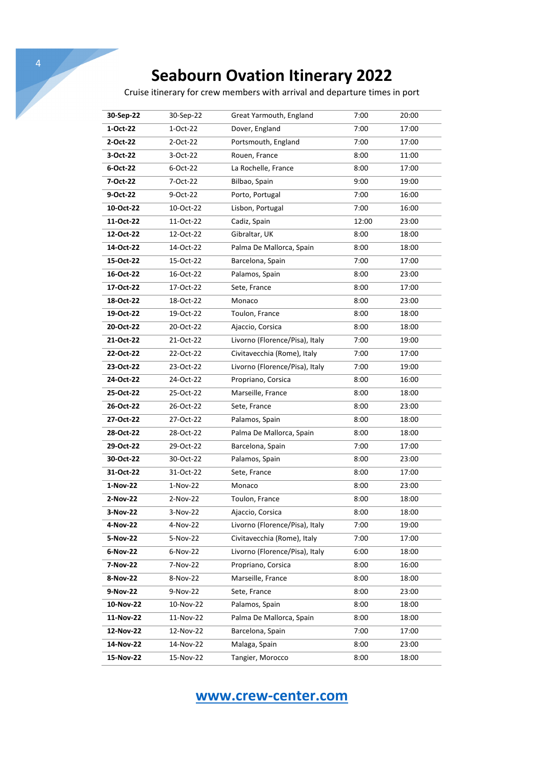4

Cruise itinerary for crew members with arrival and departure times in port

| 30-Sep-22 | 30-Sep-22  | Great Yarmouth, England        | 7:00  | 20:00 |
|-----------|------------|--------------------------------|-------|-------|
| 1-Oct-22  | 1-Oct-22   | Dover, England                 | 7:00  | 17:00 |
| 2-Oct-22  | 2-Oct-22   | Portsmouth, England            | 7:00  | 17:00 |
| 3-Oct-22  | 3-Oct-22   | Rouen, France                  | 8:00  | 11:00 |
| 6-Oct-22  | 6-Oct-22   | La Rochelle, France            | 8:00  | 17:00 |
| 7-Oct-22  | 7-Oct-22   | Bilbao, Spain                  | 9:00  | 19:00 |
| 9-Oct-22  | 9-Oct-22   | Porto, Portugal                | 7:00  | 16:00 |
| 10-Oct-22 | 10-Oct-22  | Lisbon, Portugal               | 7:00  | 16:00 |
| 11-Oct-22 | 11-Oct-22  | Cadiz, Spain                   | 12:00 | 23:00 |
| 12-Oct-22 | 12-Oct-22  |                                | 8:00  |       |
|           |            | Gibraltar, UK                  |       | 18:00 |
| 14-Oct-22 | 14-Oct-22  | Palma De Mallorca, Spain       | 8:00  | 18:00 |
| 15-Oct-22 | 15-Oct-22  | Barcelona, Spain               | 7:00  | 17:00 |
| 16-Oct-22 | 16-Oct-22  | Palamos, Spain                 | 8:00  | 23:00 |
| 17-Oct-22 | 17-Oct-22  | Sete, France                   | 8:00  | 17:00 |
| 18-Oct-22 | 18-Oct-22  | Monaco                         | 8:00  | 23:00 |
| 19-Oct-22 | 19-Oct-22  | Toulon, France                 | 8:00  | 18:00 |
| 20-Oct-22 | 20-Oct-22  | Ajaccio, Corsica               | 8:00  | 18:00 |
| 21-Oct-22 | 21-Oct-22  | Livorno (Florence/Pisa), Italy | 7:00  | 19:00 |
| 22-Oct-22 | 22-Oct-22  | Civitavecchia (Rome), Italy    | 7:00  | 17:00 |
| 23-Oct-22 | 23-Oct-22  | Livorno (Florence/Pisa), Italy | 7:00  | 19:00 |
| 24-Oct-22 | 24-Oct-22  | Propriano, Corsica             | 8:00  | 16:00 |
| 25-Oct-22 | 25-Oct-22  | Marseille, France              | 8:00  | 18:00 |
| 26-Oct-22 | 26-Oct-22  | Sete, France                   | 8:00  | 23:00 |
| 27-Oct-22 | 27-Oct-22  | Palamos, Spain                 | 8:00  | 18:00 |
| 28-Oct-22 | 28-Oct-22  | Palma De Mallorca, Spain       | 8:00  | 18:00 |
| 29-Oct-22 | 29-Oct-22  | Barcelona, Spain               | 7:00  | 17:00 |
| 30-Oct-22 | 30-Oct-22  | Palamos, Spain                 | 8:00  | 23:00 |
| 31-Oct-22 | 31-Oct-22  | Sete, France                   | 8:00  | 17:00 |
| 1-Nov-22  | $1-Nov-22$ | Monaco                         | 8:00  | 23:00 |
| 2-Nov-22  | 2-Nov-22   | Toulon, France                 | 8:00  | 18:00 |
| 3-Nov-22  | 3-Nov-22   | Ajaccio, Corsica               | 8:00  | 18:00 |
| 4-Nov-22  | 4-Nov-22   | Livorno (Florence/Pisa), Italy | 7:00  | 19:00 |
| 5-Nov-22  | 5-Nov-22   | Civitavecchia (Rome), Italy    | 7:00  | 17:00 |
| 6-Nov-22  | 6-Nov-22   | Livorno (Florence/Pisa), Italy | 6:00  | 18:00 |
| 7-Nov-22  | 7-Nov-22   | Propriano, Corsica             | 8:00  | 16:00 |
| 8-Nov-22  | 8-Nov-22   | Marseille, France              | 8:00  | 18:00 |
| 9-Nov-22  | 9-Nov-22   | Sete, France                   | 8:00  | 23:00 |
| 10-Nov-22 | 10-Nov-22  | Palamos, Spain                 | 8:00  | 18:00 |
| 11-Nov-22 | 11-Nov-22  | Palma De Mallorca, Spain       | 8:00  | 18:00 |
| 12-Nov-22 | 12-Nov-22  | Barcelona, Spain               | 7:00  | 17:00 |
| 14-Nov-22 | 14-Nov-22  | Malaga, Spain                  | 8:00  | 23:00 |
| 15-Nov-22 | 15-Nov-22  | Tangier, Morocco               | 8:00  | 18:00 |